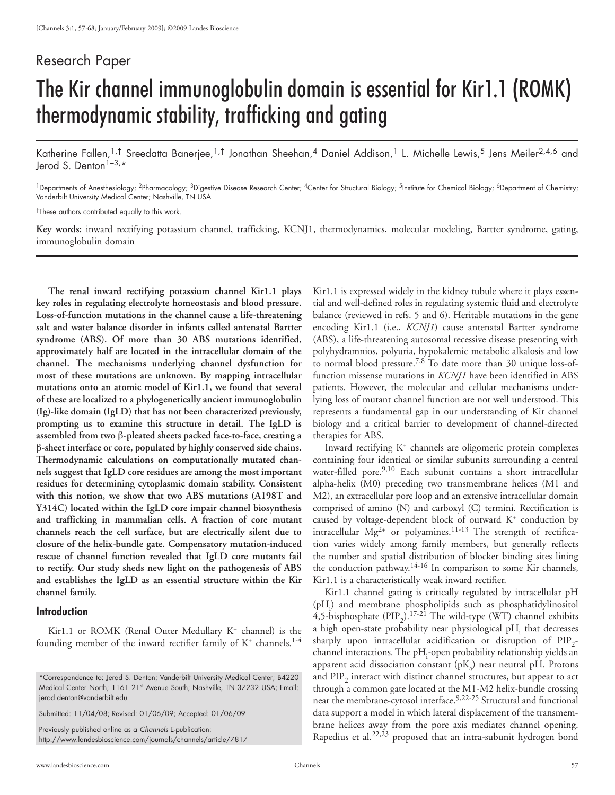## Research Paper

# The Kir channel immunoglobulin domain is essential for Kir1.1 (ROMK) thermodynamic stability, trafficking and gating

Katherine Fallen,<sup>1,†</sup> Sreedatta Banerjee,<sup>1,†</sup> Jonathan Sheehan,<sup>4</sup> Daniel Addison,<sup>1</sup> L. Michelle Lewis,<sup>5</sup> Jens Meiler<sup>2,4,6</sup> and Jerod S. Denton<sup>1-3,\*</sup>

<sup>1</sup>Departments of Anesthesiology; <sup>2</sup>Pharmacology; <sup>3</sup>Digestive Disease Research Center; <sup>4</sup>Center for Structural Biology; <sup>5</sup>Institute for Chemical Biology; <sup>6</sup>Department of Chemistry; Vanderbilt University Medical Center; Nashville, TN USA

†These authors contributed equally to this work.

**Key words:** inward rectifying potassium channel, trafficking, KCNJ1, thermodynamics, molecular modeling, Bartter syndrome, gating, immunoglobulin domain

**The renal inward rectifying potassium channel Kir1.1 plays key roles in regulating electrolyte homeostasis and blood pressure. Loss-of-function mutations in the channel cause a life-threatening salt and water balance disorder in infants called antenatal Bartter syndrome (ABS). Of more than 30 ABS mutations identified, approximately half are located in the intracellular domain of the channel. The mechanisms underlying channel dysfunction for most of these mutations are unknown. By mapping intracellular mutations onto an atomic model of Kir1.1, we found that several of these are localized to a phylogenetically ancient immunoglobulin (Ig)-like domain (IgLD) that has not been characterized previously, prompting us to examine this structure in detail. The IgLD is assembled from two** β**-pleated sheets packed face-to-face, creating a**  β**-sheet interface or core, populated by highly conserved side chains. Thermodynamic calculations on computationally mutated channels suggest that IgLD core residues are among the most important residues for determining cytoplasmic domain stability. Consistent with this notion, we show that two ABS mutations (A198T and Y314C) located within the IgLD core impair channel biosynthesis and trafficking in mammalian cells. A fraction of core mutant channels reach the cell surface, but are electrically silent due to closure of the helix-bundle gate. Compensatory mutation-induced rescue of channel function revealed that IgLD core mutants fail to rectify. Our study sheds new light on the pathogenesis of ABS and establishes the IgLD as an essential structure within the Kir channel family.**

### **Introduction**

Kir1.1 or ROMK (Renal Outer Medullary K<sup>+</sup> channel) is the founding member of the inward rectifier family of  $K^+$  channels.<sup>1-4</sup>

Previously published online as a *Channels* E-publication: http://www.landesbioscience.com/journals/channels/article/7817 Kir1.1 is expressed widely in the kidney tubule where it plays essential and well-defined roles in regulating systemic fluid and electrolyte balance (reviewed in refs. 5 and 6). Heritable mutations in the gene encoding Kir1.1 (i.e., *KCNJ1*) cause antenatal Bartter syndrome (ABS), a life-threatening autosomal recessive disease presenting with polyhydramnios, polyuria, hypokalemic metabolic alkalosis and low to normal blood pressure.7,8 To date more than 30 unique loss-offunction missense mutations in *KCNJ1* have been identified in ABS patients. However, the molecular and cellular mechanisms underlying loss of mutant channel function are not well understood. This represents a fundamental gap in our understanding of Kir channel biology and a critical barrier to development of channel-directed therapies for ABS.

Inward rectifying K+ channels are oligomeric protein complexes containing four identical or similar subunits surrounding a central water-filled pore.<sup>9,10</sup> Each subunit contains a short intracellular alpha-helix (M0) preceding two transmembrane helices (M1 and M2), an extracellular pore loop and an extensive intracellular domain comprised of amino (N) and carboxyl (C) termini. Rectification is caused by voltage-dependent block of outward K+ conduction by intracellular  $Mg^{2+}$  or polyamines.<sup>11-13</sup> The strength of rectification varies widely among family members, but generally reflects the number and spatial distribution of blocker binding sites lining the conduction pathway.<sup>14-16</sup> In comparison to some Kir channels, Kir1.1 is a characteristically weak inward rectifier.

Kir1.1 channel gating is critically regulated by intracellular pH  $(pH_i)$  and membrane phospholipids such as phosphatidylinositol 4,5-bisphosphate (PIP<sub>2</sub>).<sup>17-21</sup> The wild-type (WT) channel exhibits a high open-state probability near physiological  $pH_i$  that decreases sharply upon intracellular acidification or disruption of  $PIP_{2}$ channel interactions. The pH<sub>i</sub>-open probability relationship yields an apparent acid dissociation constant  $(pK_a)$  near neutral pH. Protons and  $\text{PIP}_2$  interact with distinct channel structures, but appear to act through a common gate located at the M1-M2 helix-bundle crossing near the membrane-cytosol interface.<sup>9,22-25</sup> Structural and functional data support a model in which lateral displacement of the transmembrane helices away from the pore axis mediates channel opening. Rapedius et al.<sup>22,23</sup> proposed that an intra-subunit hydrogen bond

<sup>\*</sup>Correspondence to: Jerod S. Denton; Vanderbilt University Medical Center; B4220 Medical Center North; 1161 21st Avenue South; Nashville, TN 37232 USA; Email: jerod.denton@vanderbilt.edu

Submitted: 11/04/08; Revised: 01/06/09; Accepted: 01/06/09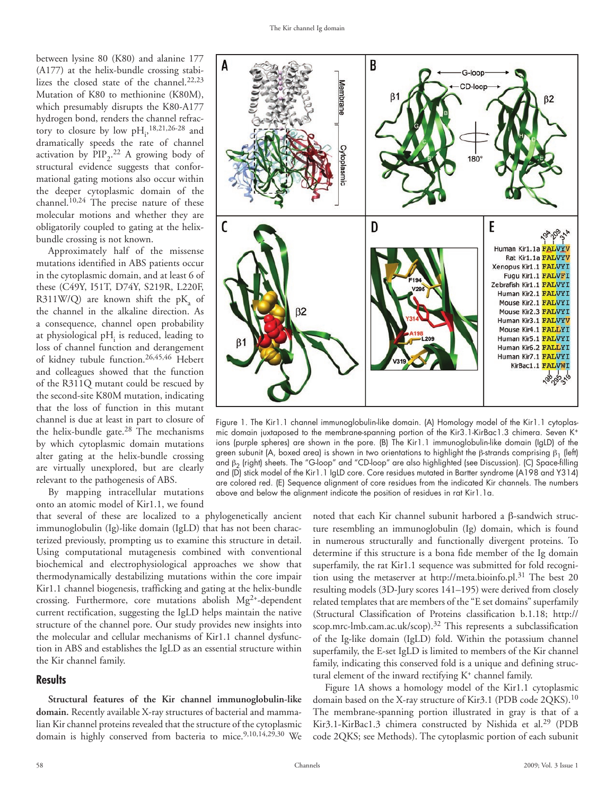between lysine 80 (K80) and alanine 177 (A177) at the helix-bundle crossing stabilizes the closed state of the channel.<sup>22,23</sup> Mutation of K80 to methionine (K80M), which presumably disrupts the K80-A177 hydrogen bond, renders the channel refractory to closure by low  $pH_i$ ,<sup>18,21,26-28</sup> and dramatically speeds the rate of channel activation by  $\text{PID}_2$ .<sup>22</sup> A growing body of structural evidence suggests that conformational gating motions also occur within the deeper cytoplasmic domain of the channel.10,24 The precise nature of these molecular motions and whether they are obligatorily coupled to gating at the helixbundle crossing is not known.

Approximately half of the missense mutations identified in ABS patients occur in the cytoplasmic domain, and at least 6 of these (C49Y, I51T, D74Y, S219R, L220F,  $R311W/Q$ ) are known shift the p $K_a$  of the channel in the alkaline direction. As a consequence, channel open probability at physiological  $pH_i$  is reduced, leading to loss of channel function and derangement of kidney tubule function.26,45,46 Hebert and colleagues showed that the function of the R311Q mutant could be rescued by the second-site K80M mutation, indicating that the loss of function in this mutant channel is due at least in part to closure of the helix-bundle gate.28 The mechanisms by which cytoplasmic domain mutations alter gating at the helix-bundle crossing are virtually unexplored, but are clearly relevant to the pathogenesis of ABS.

By mapping intracellular mutations onto an atomic model of Kir1.1, we found

that several of these are localized to a phylogenetically ancient immunoglobulin (Ig)-like domain (IgLD) that has not been characterized previously, prompting us to examine this structure in detail. Using computational mutagenesis combined with conventional biochemical and electrophysiological approaches we show that thermodynamically destabilizing mutations within the core impair Kir1.1 channel biogenesis, trafficking and gating at the helix-bundle crossing. Furthermore, core mutations abolish Mg2+-dependent current rectification, suggesting the IgLD helps maintain the native structure of the channel pore. Our study provides new insights into the molecular and cellular mechanisms of Kir1.1 channel dysfunction in ABS and establishes the IgLD as an essential structure within the Kir channel family.

#### **Results**

**Structural features of the Kir channel immunoglobulin-like domain.** Recently available X-ray structures of bacterial and mammalian Kir channel proteins revealed that the structure of the cytoplasmic domain is highly conserved from bacteria to mice.<sup>9,10,14,29</sup>,30 We



Figure 1. The Kir1.1 channel immunoglobulin-like domain. (A) Homology model of the Kir1.1 cytoplasmic domain juxtaposed to the membrane-spanning portion of the Kir3.1-KirBac1.3 chimera. Seven K+ ions (purple spheres) are shown in the pore. (B) The Kir1.1 immunoglobulin-like domain (IgLD) of the green subunit (A, boxed area) is shown in two orientations to highlight the β-strands comprising  $β_1$  (left) and  $\beta_2$  (right) sheets. The "G-loop" and "CD-loop" are also highlighted (see Discussion). (C) Space-filling and (D) stick model of the Kir1.1 IgLD core. Core residues mutated in Bartter syndrome (A198 and Y314) are colored red. (E) Sequence alignment of core residues from the indicated Kir channels. The numbers above and below the alignment indicate the position of residues in rat Kir1.1a.

noted that each Kir channel subunit harbored a β-sandwich structure resembling an immunoglobulin (Ig) domain, which is found in numerous structurally and functionally divergent proteins. To determine if this structure is a bona fide member of the Ig domain superfamily, the rat Kir1.1 sequence was submitted for fold recognition using the metaserver at http://meta.bioinfo.pl.31 The best 20 resulting models (3D-Jury scores 141–195) were derived from closely related templates that are members of the "E set domains" superfamily (Structural Classification of Proteins classification b.1.18; http:// scop.mrc-lmb.cam.ac.uk/scop).<sup>32</sup> This represents a subclassification of the Ig-like domain (IgLD) fold. Within the potassium channel superfamily, the E-set IgLD is limited to members of the Kir channel family, indicating this conserved fold is a unique and defining structural element of the inward rectifying  $K^+$  channel family.

Figure 1A shows a homology model of the Kir1.1 cytoplasmic domain based on the X-ray structure of Kir3.1 (PDB code 2QKS).<sup>10</sup> The membrane-spanning portion illustrated in gray is that of a Kir3.1-KirBac1.3 chimera constructed by Nishida et al.<sup>29</sup> (PDB code 2QKS; see Methods). The cytoplasmic portion of each subunit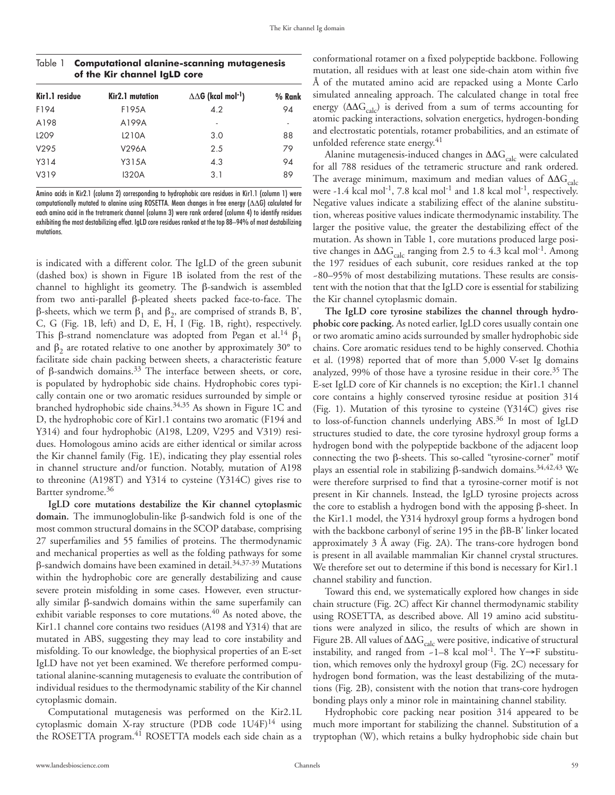| of the Kir channel IqLD core |                 |                                            |        |
|------------------------------|-----------------|--------------------------------------------|--------|
| Kirl.1 residue               | Kir2.1 mutation | $\Delta\Delta G$ (kcal mol <sup>-1</sup> ) | % Rank |
| F194                         | F195A           | 4.2                                        | 94     |
| A198                         | A199A           |                                            |        |
| L <sub>209</sub>             | L210A           | 3.0                                        | 88     |
| V295                         | V296A           | 2.5                                        | 79     |
| Y314                         | Y315A           | 4.3                                        | 94     |
| V319                         | <b>I320A</b>    | 3.1                                        | 89     |

| Table 1 Computational alanine-scanning mutagenesis |
|----------------------------------------------------|
| of the Kir channel IgLD core                       |

Amino acids in Kir2.1 (column 2) corresponding to hydrophobic core residues in Kir1.1 (column 1) were computationally mutated to alanine using ROSETTA. Mean changes in free energy  $(\Delta\Delta G)$  calculated for each amino acid in the tretrameric channel (column 3) were rank ordered (column 4) to identify residues exhibiting the most destabilizing effect. IgLD core residues ranked at the top 88–94% of most destabilizing mutations.

is indicated with a different color. The IgLD of the green subunit (dashed box) is shown in Figure 1B isolated from the rest of the channel to highlight its geometry. The β-sandwich is assembled from two anti-parallel β-pleated sheets packed face-to-face. The β-sheets, which we term  $β_1$  and  $β_2$ , are comprised of strands B, B', C, G (Fig. 1B, left) and D, E, H, I (Fig. 1B, right), respectively. This β-strand nomenclature was adopted from Pegan et al.<sup>14</sup> β<sub>1</sub> and  $\beta_2$  are rotated relative to one another by approximately 30° to facilitate side chain packing between sheets, a characteristic feature of β-sandwich domains.<sup>33</sup> The interface between sheets, or core, is populated by hydrophobic side chains. Hydrophobic cores typically contain one or two aromatic residues surrounded by simple or branched hydrophobic side chains.34,35 As shown in Figure 1C and D, the hydrophobic core of Kir1.1 contains two aromatic (F194 and Y314) and four hydrophobic (A198, L209, V295 and V319) residues. Homologous amino acids are either identical or similar across the Kir channel family (Fig. 1E), indicating they play essential roles in channel structure and/or function. Notably, mutation of A198 to threonine (A198T) and Y314 to cysteine (Y314C) gives rise to Bartter syndrome.<sup>36</sup>

**IgLD core mutations destabilize the Kir channel cytoplasmic domain.** The immunoglobulin-like β-sandwich fold is one of the most common structural domains in the SCOP database, comprising 27 superfamilies and 55 families of proteins. The thermodynamic and mechanical properties as well as the folding pathways for some  $β$ -sandwich domains have been examined in detail.<sup>34,37-39</sup> Mutations within the hydrophobic core are generally destabilizing and cause severe protein misfolding in some cases. However, even structurally similar β-sandwich domains within the same superfamily can exhibit variable responses to core mutations.<sup>40</sup> As noted above, the Kir1.1 channel core contains two residues (A198 and Y314) that are mutated in ABS, suggesting they may lead to core instability and misfolding. To our knowledge, the biophysical properties of an E-set IgLD have not yet been examined. We therefore performed computational alanine-scanning mutagenesis to evaluate the contribution of individual residues to the thermodynamic stability of the Kir channel cytoplasmic domain.

Computational mutagenesis was performed on the Kir2.1L cytoplasmic domain X-ray structure (PDB code  $1U4F$ )<sup>14</sup> using the ROSETTA program.<sup>41</sup> ROSETTA models each side chain as a

conformational rotamer on a fixed polypeptide backbone. Following mutation, all residues with at least one side-chain atom within five Å of the mutated amino acid are repacked using a Monte Carlo simulated annealing approach. The calculated change in total free energy ( $\Delta\Delta G_{\text{calc}}$ ) is derived from a sum of terms accounting for atomic packing interactions, solvation energetics, hydrogen-bonding and electrostatic potentials, rotamer probabilities, and an estimate of unfolded reference state energy.<sup>41</sup>

Alanine mutagenesis-induced changes in  $\Delta\Delta G_{\rm calc}$  were calculated for all 788 residues of the tetrameric structure and rank ordered. The average minimum, maximum and median values of  $\Delta\Delta G_{\text{calc}}$ were  $-1.4$  kcal mol<sup>-1</sup>, 7.8 kcal mol<sup>-1</sup> and 1.8 kcal mol<sup>-1</sup>, respectively. Negative values indicate a stabilizing effect of the alanine substitution, whereas positive values indicate thermodynamic instability. The larger the positive value, the greater the destabilizing effect of the mutation. As shown in Table 1, core mutations produced large positive changes in  $\Delta\Delta G_{\text{calc}}$  ranging from 2.5 to 4.3 kcal mol<sup>-1</sup>. Among the 197 residues of each subunit, core residues ranked at the top ~80–95% of most destabilizing mutations. These results are consistent with the notion that that the IgLD core is essential for stabilizing the Kir channel cytoplasmic domain.

**The IgLD core tyrosine stabilizes the channel through hydrophobic core packing.** As noted earlier, IgLD cores usually contain one or two aromatic amino acids surrounded by smaller hydrophobic side chains. Core aromatic residues tend to be highly conserved. Chothia et al. (1998) reported that of more than 5,000 V-set Ig domains analyzed, 99% of those have a tyrosine residue in their core.<sup>35</sup> The E-set IgLD core of Kir channels is no exception; the Kir1.1 channel core contains a highly conserved tyrosine residue at position 314 (Fig. 1). Mutation of this tyrosine to cysteine (Y314C) gives rise to loss-of-function channels underlying ABS.36 In most of IgLD structures studied to date, the core tyrosine hydroxyl group forms a hydrogen bond with the polypeptide backbone of the adjacent loop connecting the two β-sheets. This so-called "tyrosine-corner" motif plays an essential role in stabilizing β-sandwich domains.<sup>34,42,43</sup> We were therefore surprised to find that a tyrosine-corner motif is not present in Kir channels. Instead, the IgLD tyrosine projects across the core to establish a hydrogen bond with the apposing β-sheet. In the Kir1.1 model, the Y314 hydroxyl group forms a hydrogen bond with the backbone carbonyl of serine 195 in the βB-B' linker located approximately 3 Å away (Fig. 2A). The trans-core hydrogen bond is present in all available mammalian Kir channel crystal structures. We therefore set out to determine if this bond is necessary for Kir1.1 channel stability and function.

Toward this end, we systematically explored how changes in side chain structure (Fig. 2C) affect Kir channel thermodynamic stability using ROSETTA, as described above. All 19 amino acid substitutions were analyzed in silico, the results of which are shown in Figure 2B. All values of  $\Delta\Delta G_{\rm calc}$  were positive, indicative of structural instability, and ranged from ~1–8 kcal mol<sup>-1</sup>. The Y→F substitution, which removes only the hydroxyl group (Fig. 2C) necessary for hydrogen bond formation, was the least destabilizing of the mutations (Fig. 2B), consistent with the notion that trans-core hydrogen bonding plays only a minor role in maintaining channel stability.

Hydrophobic core packing near position 314 appeared to be much more important for stabilizing the channel. Substitution of a tryptophan (W), which retains a bulky hydrophobic side chain but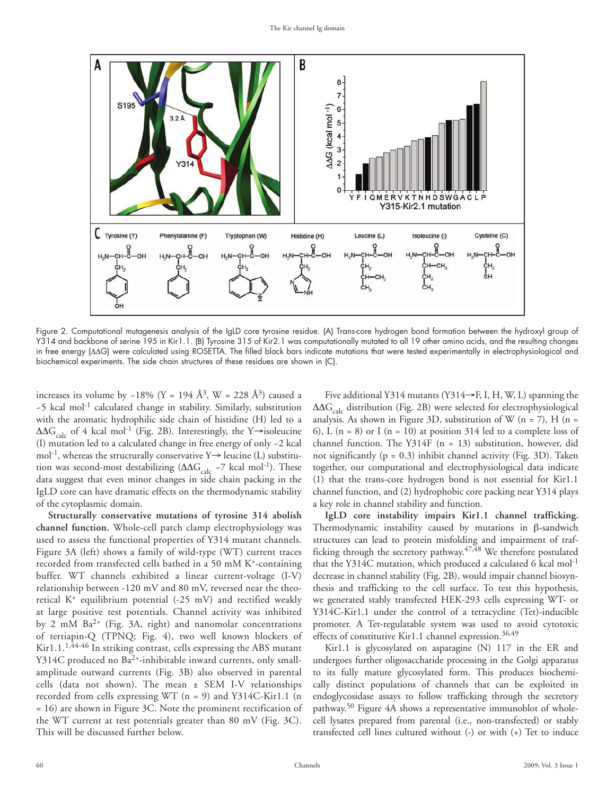

Figure 2. Computational mutagenesis analysis of the IgLD core tyrosine residue. (A) Trans-core hydrogen bond formation between the hydroxyl group of Y314 and backbone of serine 195 in Kir1.1. (B) Tyrosine 315 of Kir2.1 was computationally mutated to all 19 other amino acids, and the resulting changes in free energy (ΔΔG) were calculated using ROSETTA. The filled black bars indicate mutations that were tested experimentally in electrophysiological and biochemical experiments. The side chain structures of these residues are shown in (C).

increases its volume by ~18% (Y = 194 Å<sup>3</sup>, W = 228 Å<sup>3</sup>) caused a  $-5$  kcal mol<sup>-1</sup> calculated change in stability. Similarly, substitution with the aromatic hydrophilic side chain of histidine (H) led to a  $\Delta\Delta G_{\text{calc}}$  of 4 kcal mol<sup>-1</sup> (Fig. 2B). Interestingly, the Y→isoleucine (I) mutation led to a calculated change in free energy of only ~2 kcal mol<sup>-1</sup>, whereas the structurally conservative  $Y \rightarrow$  leucine (L) substitution was second-most destabilizing  $(\Delta \Delta G_{\text{calc}}$  -7 kcal mol<sup>-1</sup>). These data suggest that even minor changes in side chain packing in the IgLD core can have dramatic effects on the thermodynamic stability of the cytoplasmic domain.

**Structurally conservative mutations of tyrosine 314 abolish channel function.** Whole-cell patch clamp electrophysiology was used to assess the functional properties of Y314 mutant channels. Figure 3A (left) shows a family of wild-type (WT) current traces recorded from transfected cells bathed in a 50 mM K+-containing buffer. WT channels exhibited a linear current-voltage (I-V) relationship between -120 mV and 80 mV, reversed near the theoretical  $K^+$  equilibrium potential (-25 mV) and rectified weakly at large positive test potentials. Channel activity was inhibited by 2 mM Ba2+ (Fig. 3A, right) and nanomolar concentrations of tertiapin-Q (TPNQ; Fig. 4), two well known blockers of Kir1.1. $1,44-46$  In striking contrast, cells expressing the ABS mutant Y314C produced no Ba<sup>2+</sup>-inhibitable inward currents, only smallamplitude outward currents (Fig. 3B) also observed in parental cells (data not shown). The mean ± SEM I-V relationships recorded from cells expressing WT (n = 9) and Y314C-Kir1.1 (n = 16) are shown in Figure 3C. Note the prominent rectification of the WT current at test potentials greater than 80 mV (Fig. 3C). This will be discussed further below.

Five additional Y314 mutants (Y314→F, I, H, W, L) spanning the  $\Delta\Delta G_{\text{calc}}$  distribution (Fig. 2B) were selected for electrophysiological analysis. As shown in Figure 3D, substitution of W ( $n = 7$ ), H ( $n = 1$ ) 6), L  $(n = 8)$  or I  $(n = 10)$  at position 314 led to a complete loss of channel function. The Y314F (n = 13) substitution, however, did not significantly ( $p = 0.3$ ) inhibit channel activity (Fig. 3D). Taken together, our computational and electrophysiological data indicate (1) that the trans-core hydrogen bond is not essential for Kir1.1 channel function, and (2) hydrophobic core packing near Y314 plays a key role in channel stability and function.

**IgLD core instability impairs Kir1.1 channel trafficking.**  Thermodynamic instability caused by mutations in β-sandwich structures can lead to protein misfolding and impairment of trafficking through the secretory pathway. $47,48$  We therefore postulated that the Y314C mutation, which produced a calculated 6 kcal mol<sup>-1</sup> decrease in channel stability (Fig. 2B), would impair channel biosynthesis and trafficking to the cell surface. To test this hypothesis, we generated stably transfected HEK-293 cells expressing WT- or Y314C-Kir1.1 under the control of a tetracycline (Tet)-inducible promoter. A Tet-regulatable system was used to avoid cytotoxic effects of constitutive Kir1.1 channel expression.<sup>36,49</sup>

Kir1.1 is glycosylated on asparagine (N) 117 in the ER and undergoes further oligosaccharide processing in the Golgi apparatus to its fully mature glycosylated form. This produces biochemically distinct populations of channels that can be exploited in endoglycosidase assays to follow trafficking through the secretory pathway.50 Figure 4A shows a representative immunoblot of wholecell lysates prepared from parental (i.e., non-transfected) or stably transfected cell lines cultured without (-) or with (+) Tet to induce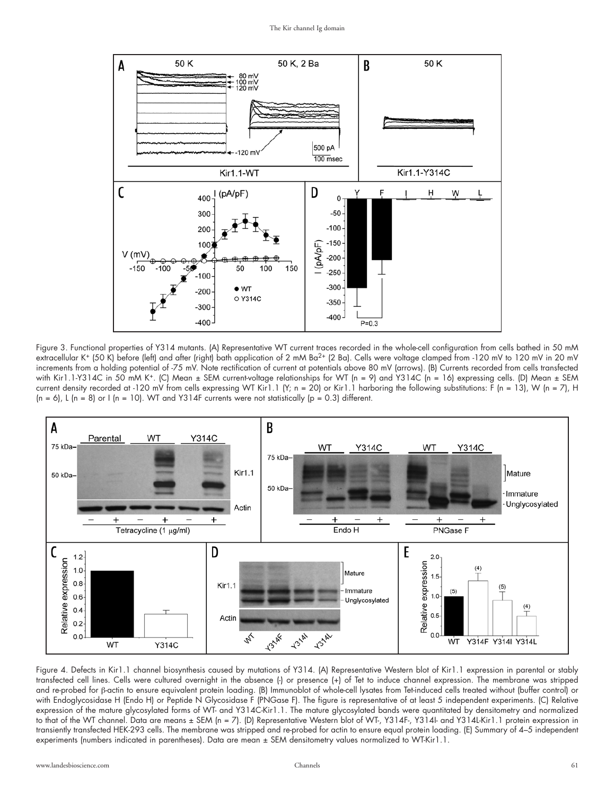

Figure 3. Functional properties of Y314 mutants. (A) Representative WT current traces recorded in the whole-cell configuration from cells bathed in 50 mM extracellular K+ (50 K) before (left) and after (right) bath application of 2 mM Ba<sup>2+</sup> (2 Ba). Cells were voltage clamped from -120 mV to 120 mV in 20 mV increments from a holding potential of -75 mV. Note rectification of current at potentials above 80 mV (arrows). (B) Currents recorded from cells transfected with Kir1.1-Y314C in 50 mM K<sup>+</sup>. (C) Mean ± SEM current-voltage relationships for WT (n = 9) and Y314C (n = 16) expressing cells. (D) Mean ± SEM current density recorded at -120 mV from cells expressing WT Kir1.1 (Y; n = 20) or Kir1.1 harboring the following substitutions: F (n = 13), W (n = 7), H  $(n = 6)$ , L  $(n = 8)$  or I  $(n = 10)$ . WT and Y314F currents were not statistically  $(p = 0.3)$  different.



Figure 4. Defects in Kir1.1 channel biosynthesis caused by mutations of Y314. (A) Representative Western blot of Kir1.1 expression in parental or stably transfected cell lines. Cells were cultured overnight in the absence (-) or presence (+) of Tet to induce channel expression. The membrane was stripped and re-probed for β-actin to ensure equivalent protein loading. (B) Immunoblot of whole-cell lysates from Tet-induced cells treated without (buffer control) or with Endoglycosidase H (Endo H) or Peptide N Glycosidase F (PNGase F). The figure is representative of at least 5 independent experiments. (C) Relative expression of the mature glycosylated forms of WT- and Y314C-Kir1.1. The mature glycosylated bands were quantitated by densitometry and normalized to that of the WT channel. Data are means ± SEM (n = 7). (D) Representative Western blot of WT-, Y314F-, Y314I- and Y314L-Kir1.1 protein expression in transiently transfected HEK-293 cells. The membrane was stripped and re-probed for actin to ensure equal protein loading. (E) Summary of 4–5 independent experiments (numbers indicated in parentheses). Data are mean ± SEM densitometry values normalized to WT-Kir1.1.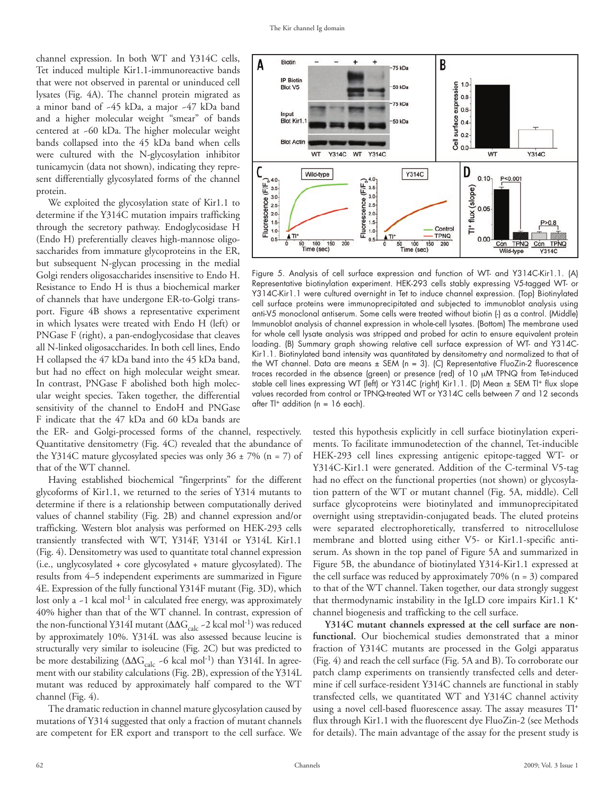channel expression. In both WT and Y314C cells, Tet induced multiple Kir1.1-immunoreactive bands that were not observed in parental or uninduced cell lysates (Fig. 4A). The channel protein migrated as a minor band of ~45 kDa, a major ~47 kDa band and a higher molecular weight "smear" of bands centered at ~60 kDa. The higher molecular weight bands collapsed into the 45 kDa band when cells were cultured with the N-glycosylation inhibitor tunicamycin (data not shown), indicating they represent differentially glycosylated forms of the channel protein.

We exploited the glycosylation state of Kir1.1 to determine if the Y314C mutation impairs trafficking through the secretory pathway. Endoglycosidase H (Endo H) preferentially cleaves high-mannose oligosaccharides from immature glycoproteins in the ER, but subsequent N-glycan processing in the medial Golgi renders oligosaccharides insensitive to Endo H. Resistance to Endo H is thus a biochemical marker of channels that have undergone ER-to-Golgi transport. Figure 4B shows a representative experiment in which lysates were treated with Endo H (left) or PNGase F (right), a pan-endoglycosidase that cleaves all N-linked oligosaccharides. In both cell lines, Endo H collapsed the 47 kDa band into the 45 kDa band, but had no effect on high molecular weight smear. In contrast, PNGase F abolished both high molecular weight species. Taken together, the differential sensitivity of the channel to EndoH and PNGase F indicate that the 47 kDa and 60 kDa bands are

the ER- and Golgi-processed forms of the channel, respectively. Quantitative densitometry (Fig. 4C) revealed that the abundance of the Y314C mature glycosylated species was only  $36 \pm 7\%$  (n = 7) of that of the WT channel.

Having established biochemical "fingerprints" for the different glycoforms of Kir1.1, we returned to the series of Y314 mutants to determine if there is a relationship between computationally derived values of channel stability (Fig. 2B) and channel expression and/or trafficking. Western blot analysis was performed on HEK-293 cells transiently transfected with WT, Y314F, Y314I or Y314L Kir1.1 (Fig. 4). Densitometry was used to quantitate total channel expression (i.e., unglycosylated + core glycosylated + mature glycosylated). The results from 4–5 independent experiments are summarized in Figure 4E. Expression of the fully functional Y314F mutant (Fig. 3D), which lost only a  $-1$  kcal mol<sup>-1</sup> in calculated free energy, was approximately 40% higher than that of the WT channel. In contrast, expression of the non-functional Y314I mutant ( $ΔΔG<sub>calc</sub> -2$  kcal mol<sup>-1</sup>) was reduced by approximately 10%. Y314L was also assessed because leucine is structurally very similar to isoleucine (Fig. 2C) but was predicted to be more destabilizing ( $\Delta \Delta G_{\text{calc}}$  ~6 kcal mol<sup>-1</sup>) than Y314I. In agreement with our stability calculations (Fig. 2B), expression of the Y314L mutant was reduced by approximately half compared to the WT channel (Fig. 4).

The dramatic reduction in channel mature glycosylation caused by mutations of Y314 suggested that only a fraction of mutant channels are competent for ER export and transport to the cell surface. We



Figure 5. Analysis of cell surface expression and function of WT- and Y314C-Kir1.1. (A) Representative biotinylation experiment. HEK-293 cells stably expressing V5-tagged WT- or Y314C-Kir1.1 were cultured overnight in Tet to induce channel expression. (Top) Biotinylated cell surface proteins were immunoprecipitated and subjected to immunoblot analysis using anti-V5 monoclonal antiserum. Some cells were treated without biotin (-) as a control. (Middle) Immunoblot analysis of channel expression in whole-cell lysates. (Bottom) The membrane used for whole cell lysate analysis was stripped and probed for actin to ensure equivalent protein loading. (B) Summary graph showing relative cell surface expression of WT- and Y314C-Kir1.1. Biotinylated band intensity was quantitated by densitometry and normalized to that of the WT channel. Data are means ± SEM (n = 3). (C) Representative FluoZin-2 fluorescence traces recorded in the absence (green) or presence (red) of 10 μM TPNQ from Tet-induced stable cell lines expressing WT (left) or Y314C (right) Kir1.1. (D) Mean ± SEM TI+ flux slope values recorded from control or TPNQ-treated WT or Y314C cells between 7 and 12 seconds after  $T \rightarrow \alpha$  addition (n = 16 each).

tested this hypothesis explicitly in cell surface biotinylation experiments. To facilitate immunodetection of the channel, Tet-inducible HEK-293 cell lines expressing antigenic epitope-tagged WT- or Y314C-Kir1.1 were generated. Addition of the C-terminal V5-tag had no effect on the functional properties (not shown) or glycosylation pattern of the WT or mutant channel (Fig. 5A, middle). Cell surface glycoproteins were biotinylated and immunoprecipitated overnight using streptavidin-conjugated beads. The eluted proteins were separated electrophoretically, transferred to nitrocellulose membrane and blotted using either V5- or Kir1.1-specific antiserum. As shown in the top panel of Figure 5A and summarized in Figure 5B, the abundance of biotinylated Y314-Kir1.1 expressed at the cell surface was reduced by approximately 70% (n = 3) compared to that of the WT channel. Taken together, our data strongly suggest that thermodynamic instability in the IgLD core impairs Kir1.1 K+ channel biogenesis and trafficking to the cell surface.

**Y314C mutant channels expressed at the cell surface are nonfunctional.** Our biochemical studies demonstrated that a minor fraction of Y314C mutants are processed in the Golgi apparatus (Fig. 4) and reach the cell surface (Fig. 5A and B). To corroborate our patch clamp experiments on transiently transfected cells and determine if cell surface-resident Y314C channels are functional in stably transfected cells, we quantitated WT and Y314C channel activity using a novel cell-based fluorescence assay. The assay measures Tl+ flux through Kir1.1 with the fluorescent dye FluoZin-2 (see Methods for details). The main advantage of the assay for the present study is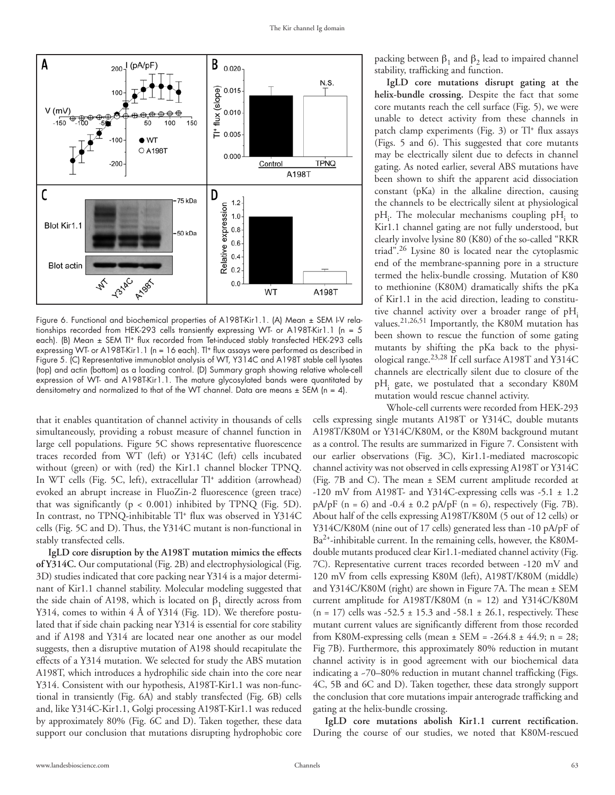

Figure 6. Functional and biochemical properties of A198T-Kir1.1. (A) Mean ± SEM I-V relationships recorded from HEK-293 cells transiently expressing WT- or A198T-Kir1.1 (n = 5 each). (B) Mean ± SEM Tl<sup>+</sup> flux recorded from Tet-induced stably transfected HEK-293 cells expressing WT- or A198T-Kir1.1 (n = 16 each). T<sup>+</sup> flux assays were performed as described in Figure 5. (C) Representative immunoblot analysis of WT, Y314C and A198T stable cell lysates (top) and actin (bottom) as a loading control. (D) Summary graph showing relative whole-cell expression of WT- and A198T-Kir1.1. The mature glycosylated bands were quantitated by densitometry and normalized to that of the WT channel. Data are means  $\pm$  SEM (n = 4).

that it enables quantitation of channel activity in thousands of cells simultaneously, providing a robust measure of channel function in large cell populations. Figure 5C shows representative fluorescence traces recorded from WT (left) or Y314C (left) cells incubated without (green) or with (red) the Kir1.1 channel blocker TPNQ. In WT cells (Fig. 5C, left), extracellular Tl+ addition (arrowhead) evoked an abrupt increase in FluoZin-2 fluorescence (green trace) that was significantly ( $p < 0.001$ ) inhibited by TPNQ (Fig. 5D). In contrast, no TPNQ-inhibitable Tl<sup>+</sup> flux was observed in Y314C cells (Fig. 5C and D). Thus, the Y314C mutant is non-functional in stably transfected cells.

**IgLD core disruption by the A198T mutation mimics the effects of Y314C.** Our computational (Fig. 2B) and electrophysiological (Fig. 3D) studies indicated that core packing near Y314 is a major determinant of Kir1.1 channel stability. Molecular modeling suggested that the side chain of A198, which is located on  $β_1$  directly across from Y314, comes to within 4 Å of Y314 (Fig. 1D). We therefore postulated that if side chain packing near Y314 is essential for core stability and if A198 and Y314 are located near one another as our model suggests, then a disruptive mutation of A198 should recapitulate the effects of a Y314 mutation. We selected for study the ABS mutation A198T, which introduces a hydrophilic side chain into the core near Y314. Consistent with our hypothesis, A198T-Kir1.1 was non-functional in transiently (Fig. 6A) and stably transfected (Fig. 6B) cells and, like Y314C-Kir1.1, Golgi processing A198T-Kir1.1 was reduced by approximately 80% (Fig. 6C and D). Taken together, these data support our conclusion that mutations disrupting hydrophobic core packing between  $β_1$  and  $β_2$  lead to impaired channel stability, trafficking and function.

**IgLD core mutations disrupt gating at the helix-bundle crossing.** Despite the fact that some core mutants reach the cell surface (Fig. 5), we were unable to detect activity from these channels in patch clamp experiments (Fig. 3) or Tl+ flux assays (Figs. 5 and 6). This suggested that core mutants may be electrically silent due to defects in channel gating. As noted earlier, several ABS mutations have been shown to shift the apparent acid dissociation constant (pKa) in the alkaline direction, causing the channels to be electrically silent at physiological  $pH_i$ . The molecular mechanisms coupling  $pH_i$  to Kir1.1 channel gating are not fully understood, but clearly involve lysine 80 (K80) of the so-called "RKR triad".26 Lysine 80 is located near the cytoplasmic end of the membrane-spanning pore in a structure termed the helix-bundle crossing. Mutation of K80 to methionine (K80M) dramatically shifts the pKa of Kir1.1 in the acid direction, leading to constitutive channel activity over a broader range of  $pH_i$ values.21,26,51 Importantly, the K80M mutation has been shown to rescue the function of some gating mutants by shifting the pKa back to the physiological range.23,28 If cell surface A198T and Y314C channels are electrically silent due to closure of the pH<sub>i</sub> gate, we postulated that a secondary K80M mutation would rescue channel activity.

Whole-cell currents were recorded from HEK-293 cells expressing single mutants A198T or Y314C, double mutants A198T/K80M or Y314C/K80M, or the K80M background mutant as a control. The results are summarized in Figure 7. Consistent with our earlier observations (Fig. 3C), Kir1.1-mediated macroscopic channel activity was not observed in cells expressing A198T or Y314C (Fig. 7B and C). The mean ± SEM current amplitude recorded at -120 mV from A198T- and Y314C-expressing cells was -5.1 ± 1.2  $pA/pF$  (n = 6) and -0.4  $\pm$  0.2  $pA/pF$  (n = 6), respectively (Fig. 7B). About half of the cells expressing A198T/K80M (5 out of 12 cells) or Y314C/K80M (nine out of 17 cells) generated less than -10 pA/pF of Ba2+-inhibitable current. In the remaining cells, however, the K80Mdouble mutants produced clear Kir1.1-mediated channel activity (Fig. 7C). Representative current traces recorded between -120 mV and 120 mV from cells expressing K80M (left), A198T/K80M (middle) and Y314C/K80M (right) are shown in Figure 7A. The mean ± SEM current amplitude for A198T/K80M (n = 12) and Y314C/K80M  $(n = 17)$  cells was -52.5  $\pm$  15.3 and -58.1  $\pm$  26.1, respectively. These mutant current values are significantly different from those recorded from K80M-expressing cells (mean  $\pm$  SEM = -264.8  $\pm$  44.9; n = 28; Fig 7B). Furthermore, this approximately 80% reduction in mutant channel activity is in good agreement with our biochemical data indicating a ~70–80% reduction in mutant channel trafficking (Figs. 4C, 5B and 6C and D). Taken together, these data strongly support the conclusion that core mutations impair anterograde trafficking and gating at the helix-bundle crossing.

**IgLD core mutations abolish Kir1.1 current rectification.**  During the course of our studies, we noted that K80M-rescued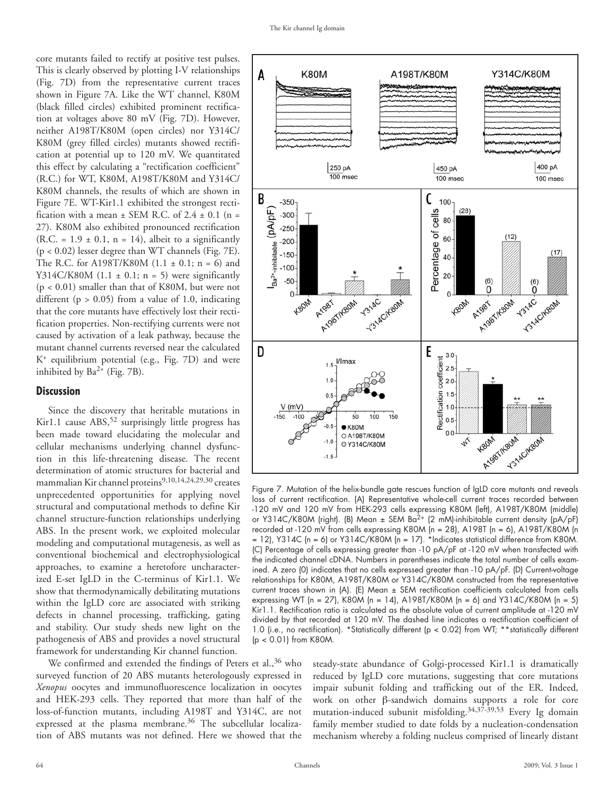core mutants failed to rectify at positive test pulses. This is clearly observed by plotting I-V relationships (Fig. 7D) from the representative current traces shown in Figure 7A. Like the WT channel, K80M (black filled circles) exhibited prominent rectification at voltages above 80 mV (Fig. 7D). However, neither A198T/K80M (open circles) nor Y314C/ K80M (grey filled circles) mutants showed rectification at potential up to 120 mV. We quantitated this effect by calculating a "rectification coefficient" (R.C.) for WT, K80M, A198T/K80M and Y314C/ K80M channels, the results of which are shown in Figure 7E. WT-Kir1.1 exhibited the strongest rectification with a mean  $\pm$  SEM R.C. of 2.4  $\pm$  0.1 (n = 27). K80M also exhibited pronounced rectification  $(R.C. = 1.9 \pm 0.1, n = 14)$ , albeit to a significantly  $(p < 0.02)$  lesser degree than WT channels (Fig. 7E). The R.C. for A198T/K80M  $(1.1 \pm 0.1; n = 6)$  and Y314C/K80M  $(1.1 \pm 0.1; n = 5)$  were significantly (p < 0.01) smaller than that of K80M, but were not different ( $p > 0.05$ ) from a value of 1.0, indicating that the core mutants have effectively lost their rectification properties. Non-rectifying currents were not caused by activation of a leak pathway, because the mutant channel currents reversed near the calculated K+ equilibrium potential (e.g., Fig. 7D) and were inhibited by  $Ba^{2+}$  (Fig. 7B).

#### **Discussion**

Since the discovery that heritable mutations in Kir1.1 cause ABS,<sup>52</sup> surprisingly little progress has been made toward elucidating the molecular and cellular mechanisms underlying channel dysfunction in this life-threatening disease. The recent determination of atomic structures for bacterial and mammalian Kir channel proteins<sup>9,10,14,24,29,30</sup> creates unprecedented opportunities for applying novel structural and computational methods to define Kir channel structure-function relationships underlying ABS. In the present work, we exploited molecular modeling and computational mutagenesis, as well as conventional biochemical and electrophysiological approaches, to examine a heretofore uncharacterized E-set IgLD in the C-terminus of Kir1.1. We show that thermodynamically debilitating mutations within the IgLD core are associated with striking defects in channel processing, trafficking, gating and stability. Our study sheds new light on the pathogenesis of ABS and provides a novel structural framework for understanding Kir channel function.

We confirmed and extended the findings of Peters et al.,<sup>36</sup> who surveyed function of 20 ABS mutants heterologously expressed in *Xenopus* oocytes and immunofluorescence localization in oocytes and HEK-293 cells. They reported that more than half of the loss-of-function mutants, including A198T and Y314C, are not expressed at the plasma membrane.<sup>36</sup> The subcellular localization of ABS mutants was not defined. Here we showed that the



Figure 7. Mutation of the helix-bundle gate rescues function of IgLD core mutants and reveals loss of current rectification. (A) Representative whole-cell current traces recorded between -120 mV and 120 mV from HEK-293 cells expressing K80M (left), A198T/K80M (middle) or Y314C/K80M (right). (B) Mean  $\pm$  SEM Ba<sup>2+</sup> (2 mM)-inhibitable current density (pA/pF) recorded at -120 mV from cells expressing K80M (n = 28), A198T (n = 6), A198T/K80M (n  $= 12$ ), Y314C (n = 6) or Y314C/K80M (n = 17). \*Indicates statistical difference from K80M. (C) Percentage of cells expressing greater than -10 pA/pF at -120 mV when transfected with the indicated channel cDNA. Numbers in parentheses indicate the total number of cells examined. A zero (0) indicates that no cells expressed greater than -10 pA/pF. (D) Current-voltage relationships for K80M, A198T/K80M or Y314C/K80M constructed from the representative current traces shown in (A). (E) Mean ± SEM rectification coefficients calculated from cells expressing WT (n = 27), K80M (n = 14), A198T/K80M (n = 6) and Y314C/K80M (n = 5) Kir1.1. Rectification ratio is calculated as the absolute value of current amplitude at -120 mV divided by that recorded at 120 mV. The dashed line indicates a rectification coefficient of 1.0 (i.e., no rectification). \*Statistically different (p < 0.02) from WT; \*\*statistically different (p < 0.01) from K80M.

steady-state abundance of Golgi-processed Kir1.1 is dramatically reduced by IgLD core mutations, suggesting that core mutations impair subunit folding and trafficking out of the ER. Indeed, work on other β-sandwich domains supports a role for core mutation-induced subunit misfolding.34,37-39,53 Every Ig domain family member studied to date folds by a nucleation-condensation mechanism whereby a folding nucleus comprised of linearly distant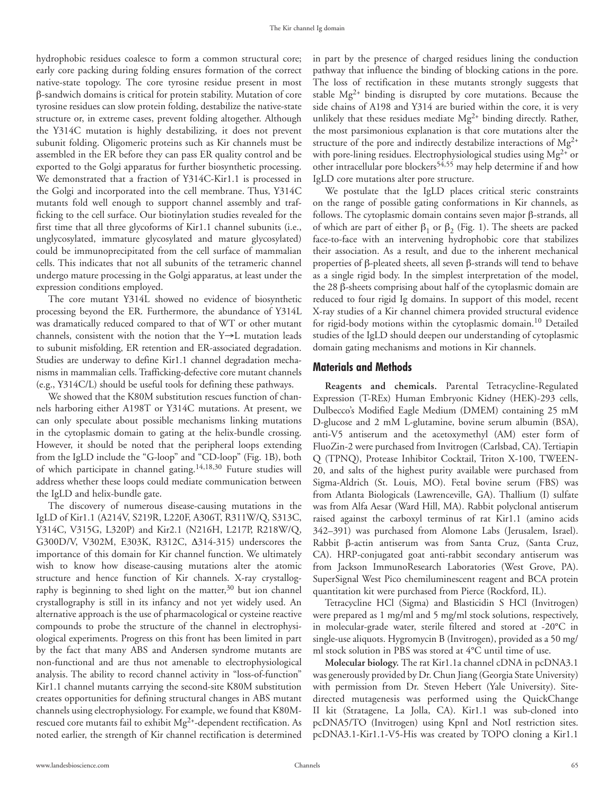hydrophobic residues coalesce to form a common structural core; early core packing during folding ensures formation of the correct native-state topology. The core tyrosine residue present in most β-sandwich domains is critical for protein stability. Mutation of core tyrosine residues can slow protein folding, destabilize the native-state structure or, in extreme cases, prevent folding altogether. Although the Y314C mutation is highly destabilizing, it does not prevent subunit folding. Oligomeric proteins such as Kir channels must be assembled in the ER before they can pass ER quality control and be exported to the Golgi apparatus for further biosynthetic processing. We demonstrated that a fraction of Y314C-Kir1.1 is processed in the Golgi and incorporated into the cell membrane. Thus, Y314C mutants fold well enough to support channel assembly and trafficking to the cell surface. Our biotinylation studies revealed for the first time that all three glycoforms of Kir1.1 channel subunits (i.e., unglycosylated, immature glycosylated and mature glycosylated) could be immunoprecipitated from the cell surface of mammalian cells. This indicates that not all subunits of the tetrameric channel undergo mature processing in the Golgi apparatus, at least under the expression conditions employed.

The core mutant Y314L showed no evidence of biosynthetic processing beyond the ER. Furthermore, the abundance of Y314L was dramatically reduced compared to that of WT or other mutant channels, consistent with the notion that the Y→L mutation leads to subunit misfolding, ER retention and ER-associated degradation. Studies are underway to define Kir1.1 channel degradation mechanisms in mammalian cells. Trafficking-defective core mutant channels (e.g., Y314C/L) should be useful tools for defining these pathways.

We showed that the K80M substitution rescues function of channels harboring either A198T or Y314C mutations. At present, we can only speculate about possible mechanisms linking mutations in the cytoplasmic domain to gating at the helix-bundle crossing. However, it should be noted that the peripheral loops extending from the IgLD include the "G-loop" and "CD-loop" (Fig. 1B), both of which participate in channel gating.14,18,30 Future studies will address whether these loops could mediate communication between the IgLD and helix-bundle gate.

The discovery of numerous disease-causing mutations in the IgLD of Kir1.1 (A214V, S219R, L220F, A306T, R311W/Q, S313C, Y314C, V315G, L320P) and Kir2.1 (N216H, L217P, R218W/Q, G300D/V, V302M, E303K, R312C, Δ314-315) underscores the importance of this domain for Kir channel function. We ultimately wish to know how disease-causing mutations alter the atomic structure and hence function of Kir channels. X-ray crystallography is beginning to shed light on the matter,  $30$  but ion channel crystallography is still in its infancy and not yet widely used. An alternative approach is the use of pharmacological or cysteine reactive compounds to probe the structure of the channel in electrophysiological experiments. Progress on this front has been limited in part by the fact that many ABS and Andersen syndrome mutants are non-functional and are thus not amenable to electrophysiological analysis. The ability to record channel activity in "loss-of-function" Kir1.1 channel mutants carrying the second-site K80M substitution creates opportunities for defining structural changes in ABS mutant channels using electrophysiology. For example, we found that K80Mrescued core mutants fail to exhibit  $Mg^{2+}$ -dependent rectification. As noted earlier, the strength of Kir channel rectification is determined

in part by the presence of charged residues lining the conduction pathway that influence the binding of blocking cations in the pore. The loss of rectification in these mutants strongly suggests that stable Mg2+ binding is disrupted by core mutations. Because the side chains of A198 and Y314 are buried within the core, it is very unlikely that these residues mediate Mg<sup>2+</sup> binding directly. Rather, the most parsimonious explanation is that core mutations alter the structure of the pore and indirectly destabilize interactions of Mg<sup>2+</sup> with pore-lining residues. Electrophysiological studies using Mg<sup>2+</sup> or other intracellular pore blockers<sup>54,55</sup> may help determine if and how IgLD core mutations alter pore structure.

We postulate that the IgLD places critical steric constraints on the range of possible gating conformations in Kir channels, as follows. The cytoplasmic domain contains seven major β-strands, all of which are part of either  $β_1$  or  $β_2$  (Fig. 1). The sheets are packed face-to-face with an intervening hydrophobic core that stabilizes their association. As a result, and due to the inherent mechanical properties of β-pleated sheets, all seven β-strands will tend to behave as a single rigid body. In the simplest interpretation of the model, the 28 β-sheets comprising about half of the cytoplasmic domain are reduced to four rigid Ig domains. In support of this model, recent X-ray studies of a Kir channel chimera provided structural evidence for rigid-body motions within the cytoplasmic domain.10 Detailed studies of the IgLD should deepen our understanding of cytoplasmic domain gating mechanisms and motions in Kir channels.

#### **Materials and Methods**

**Reagents and chemicals.** Parental Tetracycline-Regulated Expression (T-REx) Human Embryonic Kidney (HEK)-293 cells, Dulbecco's Modified Eagle Medium (DMEM) containing 25 mM D-glucose and 2 mM L-glutamine, bovine serum albumin (BSA), anti-V5 antiserum and the acetoxymethyl (AM) ester form of FluoZin-2 were purchased from Invitrogen (Carlsbad, CA). Tertiapin Q (TPNQ), Protease Inhibitor Cocktail, Triton X-100, TWEEN-20, and salts of the highest purity available were purchased from Sigma-Aldrich (St. Louis, MO). Fetal bovine serum (FBS) was from Atlanta Biologicals (Lawrenceville, GA). Thallium (I) sulfate was from Alfa Aesar (Ward Hill, MA). Rabbit polyclonal antiserum raised against the carboxyl terminus of rat Kir1.1 (amino acids 342–391) was purchased from Alomone Labs (Jerusalem, Israel). Rabbit β-actin antiserum was from Santa Cruz, (Santa Cruz, CA). HRP-conjugated goat anti-rabbit secondary antiserum was from Jackson ImmunoResearch Laboratories (West Grove, PA). SuperSignal West Pico chemiluminescent reagent and BCA protein quantitation kit were purchased from Pierce (Rockford, IL).

Tetracycline HCl (Sigma) and Blasticidin S HCl (Invitrogen) were prepared as 1 mg/ml and 5 mg/ml stock solutions, respectively, in molecular-grade water, sterile filtered and stored at -20°C in single-use aliquots. Hygromycin B (Invitrogen), provided as a 50 mg/ ml stock solution in PBS was stored at 4°C until time of use.

**Molecular biology.** The rat Kir1.1a channel cDNA in pcDNA3.1 was generously provided by Dr. Chun Jiang (Georgia State University) with permission from Dr. Steven Hebert (Yale University). Sitedirected mutagenesis was performed using the QuickChange II kit (Stratagene, La Jolla, CA). Kir1.1 was sub-cloned into pcDNA5/TO (Invitrogen) using KpnI and NotI restriction sites. pcDNA3.1-Kir1.1-V5-His was created by TOPO cloning a Kir1.1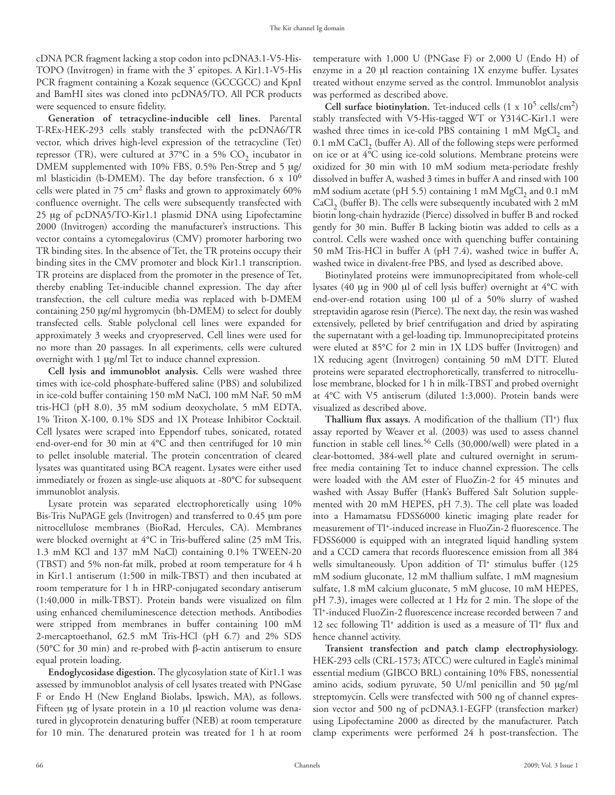cDNA PCR fragment lacking a stop codon into pcDNA3.1-V5-His-TOPO (Invitrogen) in frame with the 3' epitopes. A Kir1.1-V5-His PCR fragment containing a Kozak sequence (GCCGCC) and KpnI and BamHI sites was cloned into pcDNA5/TO. All PCR products were sequenced to ensure fidelity.

**Generation of tetracycline-inducible cell lines.** Parental T-REx-HEK-293 cells stably transfected with the pcDNA6/TR vector, which drives high-level expression of the tetracycline (Tet) repressor (TR), were cultured at  $37^{\circ}$ C in a 5% CO<sub>2</sub> incubator in DMEM supplemented with 10% FBS, 0.5% Pen-Strep and 5 μg/ ml blasticidin (b-DMEM). The day before transfection, 6 x  $10^6$ cells were plated in  $75 \text{ cm}^2$  flasks and grown to approximately 60% confluence overnight. The cells were subsequently transfected with 25 μg of pcDNA5/TO-Kir1.1 plasmid DNA using Lipofectamine 2000 (Invitrogen) according the manufacturer's instructions. This vector contains a cytomegalovirus (CMV) promoter harboring two TR binding sites. In the absence of Tet, the TR proteins occupy their binding sites in the CMV promoter and block Kir1.1 transcription. TR proteins are displaced from the promoter in the presence of Tet, thereby enabling Tet-inducible channel expression. The day after transfection, the cell culture media was replaced with b-DMEM containing 250 μg/ml hygromycin (bh-DMEM) to select for doubly transfected cells. Stable polyclonal cell lines were expanded for approximately 3 weeks and cryopreserved. Cell lines were used for no more than 20 passages. In all experiments, cells were cultured overnight with 1 μg/ml Tet to induce channel expression.

**Cell lysis and immunoblot analysis.** Cells were washed three times with ice-cold phosphate-buffered saline (PBS) and solubilized in ice-cold buffer containing 150 mM NaCl, 100 mM NaF, 50 mM tris-HCl (pH 8.0), 35 mM sodium deoxycholate, 5 mM EDTA, 1% Triton X-100, 0.1% SDS and 1X Protease Inhibitor Cocktail. Cell lysates were scraped into Eppendorf tubes, sonicated, rotated end-over-end for 30 min at 4°C and then centrifuged for 10 min to pellet insoluble material. The protein concentration of cleared lysates was quantitated using BCA reagent. Lysates were either used immediately or frozen as single-use aliquots at -80°C for subsequent immunoblot analysis.

Lysate protein was separated electrophoretically using 10% Bis-Tris NuPAGE gels (Invitrogen) and transferred to 0.45 μm pore nitrocellulose membranes (BioRad, Hercules, CA). Membranes were blocked overnight at 4°C in Tris-buffered saline (25 mM Tris, 1.3 mM KCl and 137 mM NaCl) containing 0.1% TWEEN-20 (TBST) and 5% non-fat milk, probed at room temperature for 4 h in Kir1.1 antiserum (1:500 in milk-TBST) and then incubated at room temperature for 1 h in HRP-conjugated secondary antiserum (1:40,000 in milk-TBST). Protein bands were visualized on film using enhanced chemiluminescence detection methods. Antibodies were stripped from membranes in buffer containing 100 mM 2-mercaptoethanol, 62.5 mM Tris-HCl (pH 6.7) and 2% SDS (50°C for 30 min) and re-probed with β-actin antiserum to ensure equal protein loading.

**Endoglycosidase digestion.** The glycosylation state of Kir1.1 was assessed by immunoblot analysis of cell lysates treated with PNGase F or Endo H (New England Biolabs, Ipswich, MA), as follows. Fifteen μg of lysate protein in a 10 μl reaction volume was denatured in glycoprotein denaturing buffer (NEB) at room temperature for 10 min. The denatured protein was treated for 1 h at room

temperature with 1,000 U (PNGase F) or 2,000 U (Endo H) of enzyme in a 20 μl reaction containing 1X enzyme buffer. Lysates treated without enzyme served as the control. Immunoblot analysis was performed as described above.

**Cell surface biotinylation.** Tet-induced cells (1 x 105 cells/cm2) stably transfected with V5-His-tagged WT or Y314C-Kir1.1 were washed three times in ice-cold PBS containing  $1 \text{ mM } MgCl<sub>2</sub>$  and 0.1 mM  $CaCl<sub>2</sub>$  (buffer A). All of the following steps were performed on ice or at 4°C using ice-cold solutions. Membrane proteins were oxidized for 30 min with 10 mM sodium meta-periodate freshly dissolved in buffer A, washed 3 times in buffer A and rinsed with 100 mM sodium acetate (pH 5.5) containing 1 mM  $MgCl<sub>2</sub>$  and 0.1 mM CaCl<sub>2</sub> (buffer B). The cells were subsequently incubated with 2 mM biotin long-chain hydrazide (Pierce) dissolved in buffer B and rocked gently for 30 min. Buffer B lacking biotin was added to cells as a control. Cells were washed once with quenching buffer containing 50 mM Tris-HCl in buffer A (pH 7.4), washed twice in buffer A, washed twice in divalent-free PBS, and lysed as described above.

Biotinylated proteins were immunoprecipitated from whole-cell lysates (40 μg in 900 μl of cell lysis buffer) overnight at 4°C with end-over-end rotation using 100 μl of a 50% slurry of washed streptavidin agarose resin (Pierce). The next day, the resin was washed extensively, pelleted by brief centrifugation and dried by aspirating the supernatant with a gel-loading tip. Immunoprecipitated proteins were eluted at 85°C for 2 min in 1X LDS buffer (Invitrogen) and 1X reducing agent (Invitrogen) containing 50 mM DTT. Eluted proteins were separated electrophoretically, transferred to nitrocellulose membrane, blocked for 1 h in milk-TBST and probed overnight at 4°C with V5 antiserum (diluted 1:3,000). Protein bands were visualized as described above.

**Thallium flux assays.** A modification of the thallium (Tl+) flux assay reported by Weaver et al. (2003) was used to assess channel function in stable cell lines.<sup>56</sup> Cells (30,000/well) were plated in a clear-bottomed, 384-well plate and cultured overnight in serumfree media containing Tet to induce channel expression. The cells were loaded with the AM ester of FluoZin-2 for 45 minutes and washed with Assay Buffer (Hank's Buffered Salt Solution supplemented with 20 mM HEPES, pH 7.3). The cell plate was loaded into a Hamamatsu FDSS6000 kinetic imaging plate reader for measurement of Tl+-induced increase in FluoZin-2 fluorescence. The FDSS6000 is equipped with an integrated liquid handling system and a CCD camera that records fluorescence emission from all 384 wells simultaneously. Upon addition of Tl<sup>+</sup> stimulus buffer (125 mM sodium gluconate, 12 mM thallium sulfate, 1 mM magnesium sulfate, 1.8 mM calcium gluconate, 5 mM glucose, 10 mM HEPES, pH 7.3), images were collected at 1 Hz for 2 min. The slope of the Tl+-induced FluoZin-2 fluorescence increase recorded between 7 and 12 sec following Tl+ addition is used as a measure of Tl+ flux and hence channel activity.

**Transient transfection and patch clamp electrophysiology.**  HEK-293 cells (CRL-1573; ATCC) were cultured in Eagle's minimal essential medium (GIBCO BRL) containing 10% FBS, nonessential amino acids, sodium pyruvate, 50 U/ml penicillin and 50 μg/ml streptomycin. Cells were transfected with 500 ng of channel expression vector and 500 ng of pcDNA3.1-EGFP (transfection marker) using Lipofectamine 2000 as directed by the manufacturer. Patch clamp experiments were performed 24 h post-transfection. The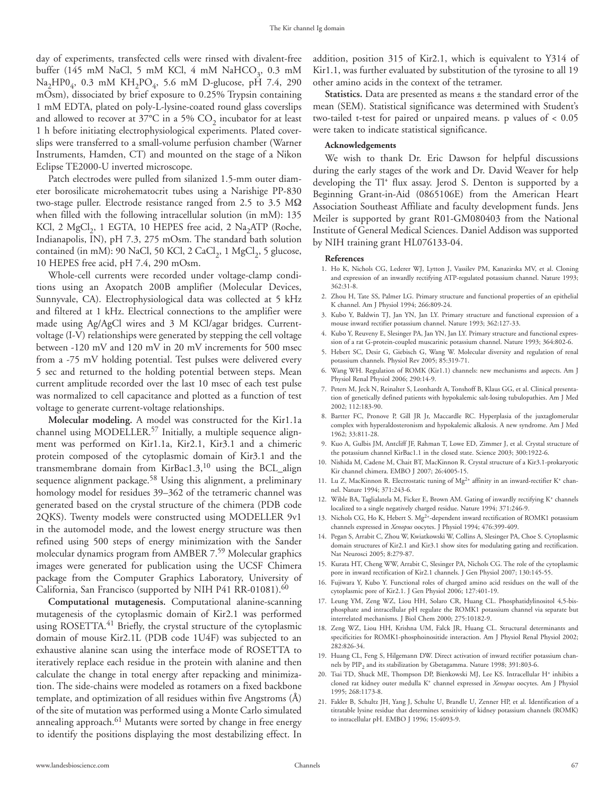day of experiments, transfected cells were rinsed with divalent-free buffer (145 mM NaCl, 5 mM KCl, 4 mM NaHCO<sub>3</sub>, 0.3 mM  $\text{Na}_2\text{HPO}_4$ , 0.3 mM  $\text{KH}_2\text{PO}_4$ , 5.6 mM D-glucose, pH 7.4, 290 mOsm), dissociated by brief exposure to 0.25% Trypsin containing 1 mM EDTA, plated on poly-L-lysine-coated round glass coverslips and allowed to recover at  $37^{\circ}$ C in a 5% CO<sub>2</sub> incubator for at least 1 h before initiating electrophysiological experiments. Plated coverslips were transferred to a small-volume perfusion chamber (Warner Instruments, Hamden, CT) and mounted on the stage of a Nikon Eclipse TE2000-U inverted microscope.

Patch electrodes were pulled from silanized 1.5-mm outer diameter borosilicate microhematocrit tubes using a Narishige PP-830 two-stage puller. Electrode resistance ranged from 2.5 to 3.5 MΩ when filled with the following intracellular solution (in mM): 135 KCl, 2 MgCl<sub>2</sub>, 1 EGTA, 10 HEPES free acid, 2 Na<sub>2</sub>ATP (Roche, Indianapolis, IN), pH 7.3, 275 mOsm. The standard bath solution contained (in mM): 90 NaCl, 50 KCl, 2 CaCl<sub>2</sub>, 1 MgCl<sub>2</sub>, 5 glucose, 10 HEPES free acid, pH 7.4, 290 mOsm.

Whole-cell currents were recorded under voltage-clamp conditions using an Axopatch 200B amplifier (Molecular Devices, Sunnyvale, CA). Electrophysiological data was collected at 5 kHz and filtered at 1 kHz. Electrical connections to the amplifier were made using Ag/AgCl wires and 3 M KCl/agar bridges. Currentvoltage (I-V) relationships were generated by stepping the cell voltage between -120 mV and 120 mV in 20 mV increments for 500 msec from a -75 mV holding potential. Test pulses were delivered every 5 sec and returned to the holding potential between steps. Mean current amplitude recorded over the last 10 msec of each test pulse was normalized to cell capacitance and plotted as a function of test voltage to generate current-voltage relationships.

**Molecular modeling.** A model was constructed for the Kir1.1a channel using MODELLER.57 Initially, a multiple sequence alignment was performed on Kir1.1a, Kir2.1, Kir3.1 and a chimeric protein composed of the cytoplasmic domain of Kir3.1 and the transmembrane domain from KirBac1.3,<sup>10</sup> using the BCL\_align sequence alignment package.<sup>58</sup> Using this alignment, a preliminary homology model for residues 39–362 of the tetrameric channel was generated based on the crystal structure of the chimera (PDB code 2QKS). Twenty models were constructed using MODELLER 9v1 in the automodel mode, and the lowest energy structure was then refined using 500 steps of energy minimization with the Sander molecular dynamics program from AMBER 7.59 Molecular graphics images were generated for publication using the UCSF Chimera package from the Computer Graphics Laboratory, University of California, San Francisco (supported by NIH P41 RR-01081).60

**Computational mutagenesis.** Computational alanine-scanning mutagenesis of the cytoplasmic domain of Kir2.1 was performed using ROSETTA.<sup>41</sup> Briefly, the crystal structure of the cytoplasmic domain of mouse Kir2.1L (PDB code 1U4F) was subjected to an exhaustive alanine scan using the interface mode of ROSETTA to iteratively replace each residue in the protein with alanine and then calculate the change in total energy after repacking and minimization. The side-chains were modeled as rotamers on a fixed backbone template, and optimization of all residues within five Angstroms (Å) of the site of mutation was performed using a Monte Carlo simulated annealing approach.<sup>61</sup> Mutants were sorted by change in free energy to identify the positions displaying the most destabilizing effect. In

addition, position 315 of Kir2.1, which is equivalent to Y314 of Kir1.1, was further evaluated by substitution of the tyrosine to all 19 other amino acids in the context of the tetramer.

**Statistics.** Data are presented as means ± the standard error of the mean (SEM). Statistical significance was determined with Student's two-tailed t-test for paired or unpaired means. p values of < 0.05 were taken to indicate statistical significance.

#### **Acknowledgements**

We wish to thank Dr. Eric Dawson for helpful discussions during the early stages of the work and Dr. David Weaver for help developing the Tl+ flux assay. Jerod S. Denton is supported by a Beginning Grant-in-Aid (0865106E) from the American Heart Association Southeast Affiliate and faculty development funds. Jens Meiler is supported by grant R01-GM080403 from the National Institute of General Medical Sciences. Daniel Addison was supported by NIH training grant HL076133-04.

#### **References**

- 1. Ho K, Nichols CG, Lederer WJ, Lytton J, Vassilev PM, Kanazirska MV, et al. Cloning and expression of an inwardly rectifying ATP-regulated potassium channel. Nature 1993; 362:31-8.
- 2. Zhou H, Tate SS, Palmer LG. Primary structure and functional properties of an epithelial K channel. Am J Physiol 1994; 266:809-24.
- 3. Kubo Y, Baldwin TJ, Jan YN, Jan LY. Primary structure and functional expression of a mouse inward rectifier potassium channel. Nature 1993; 362:127-33.
- 4. Kubo Y, Reuveny E, Slesinger PA, Jan YN, Jan LY. Primary structure and functional expression of a rat G-protein-coupled muscarinic potassium channel. Nature 1993; 364:802-6.
- 5. Hebert SC, Desir G, Giebisch G, Wang W. Molecular diversity and regulation of renal potassium channels. Physiol Rev 2005; 85:319-71.
- 6. Wang WH. Regulation of ROMK (Kir1.1) channels: new mechanisms and aspects. Am J Physiol Renal Physiol 2006; 290:14-9.
- 7. Peters M, Jeck N, Reinalter S, Leonhardt A, Tonshoff B, Klaus GG, et al. Clinical presentation of genetically defined patients with hypokalemic salt-losing tubulopathies. Am J Med 2002; 112:183-90.
- 8. Bartter FC, Pronove P, Gill JR Jr, Maccardle RC. Hyperplasia of the juxtaglomerular complex with hyperaldosteronism and hypokalemic alkalosis. A new syndrome. Am J Med 1962; 33:811-28.
- 9. Kuo A, Gulbis JM, Antcliff JF, Rahman T, Lowe ED, Zimmer J, et al. Crystal structure of the potassium channel KirBac1.1 in the closed state. Science 2003; 300:1922-6.
- 10. Nishida M, Cadene M, Chait BT, MacKinnon R. Crystal structure of a Kir3.1-prokaryotic Kir channel chimera. EMBO J 2007; 26:4005-15.
- 11. Lu Z, MacKinnon R. Electrostatic tuning of  $Mg^{2+}$  affinity in an inward-rectifier K<sup>+</sup> channel. Nature 1994; 371:243-6.
- 12. Wible BA, Taglialatela M, Ficker E, Brown AM. Gating of inwardly rectifying K+ channels localized to a single negatively charged residue. Nature 1994; 371:246-9.
- 13. Nichols CG, Ho K, Hebert S. Mg<sup>2+</sup>-dependent inward rectification of ROMK1 potassium channels expressed in *Xenopus* oocytes. J Physiol 1994; 476:399-409.
- 14. Pegan S, Arrabit C, Zhou W, Kwiatkowski W, Collins A, Slesinger PA, Choe S. Cytoplasmic domain structures of Kir2.1 and Kir3.1 show sites for modulating gating and rectification. Nat Neurosci 2005; 8:279-87.
- 15. Kurata HT, Cheng WW, Arrabit C, Slesinger PA, Nichols CG. The role of the cytoplasmic pore in inward rectification of Kir2.1 channels. J Gen Physiol 2007; 130:145-55.
- 16. Fujiwara Y, Kubo Y. Functional roles of charged amino acid residues on the wall of the cytoplasmic pore of Kir2.1. J Gen Physiol 2006; 127:401-19.
- 17. Leung YM, Zeng WZ, Liou HH, Solaro CR, Huang CL. Phosphatidylinositol 4,5-bisphosphate and intracellular pH regulate the ROMK1 potassium channel via separate but interrelated mechanisms. J Biol Chem 2000; 275:10182-9.
- 18. Zeng WZ, Liou HH, Krishna UM, Falck JR, Huang CL. Structural determinants and specificities for ROMK1-phosphoinositide interaction. Am J Physiol Renal Physiol 2002; 282:826-34.
- 19. Huang CL, Feng S, Hilgemann DW. Direct activation of inward rectifier potassium channels by PIP<sub>2</sub> and its stabilization by Gbetagamma. Nature 1998; 391:803-6.
- 20. Tsai TD, Shuck ME, Thompson DP, Bienkowski MJ, Lee KS. Intracellular H+ inhibits a cloned rat kidney outer medulla K+ channel expressed in *Xenopus* oocytes. Am J Physiol 1995; 268:1173-8.
- 21. Fakler B, Schultz JH, Yang J, Schulte U, Brandle U, Zenner HP, et al. Identification of a titratable lysine residue that determines sensitivity of kidney potassium channels (ROMK) to intracellular pH. EMBO J 1996; 15:4093-9.